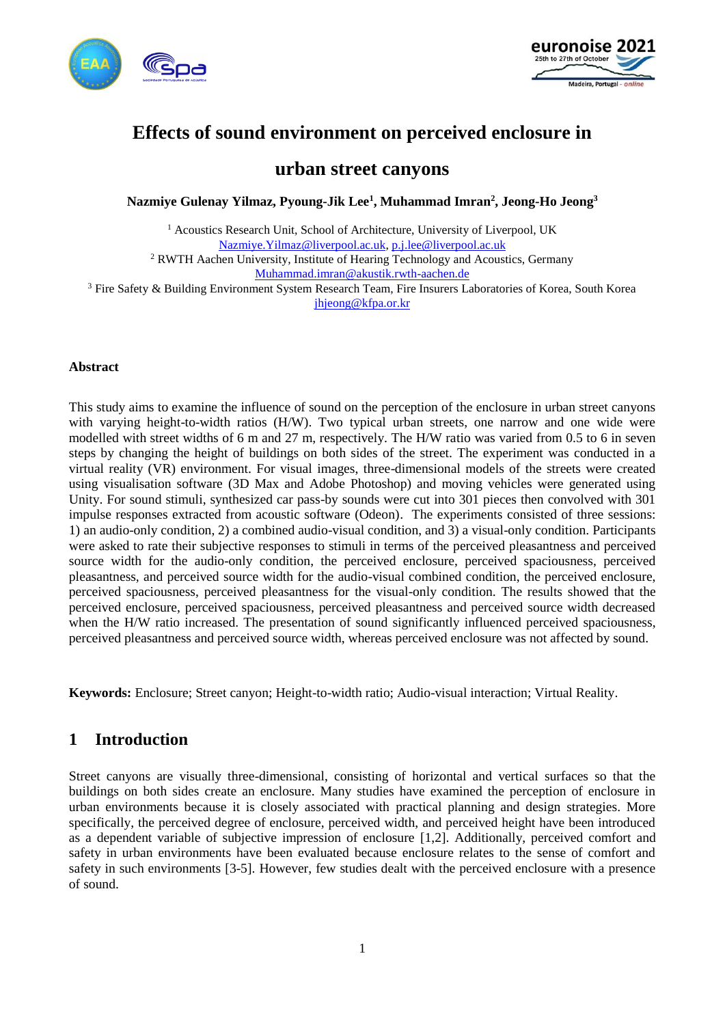



# **Effects of sound environment on perceived enclosure in**

# **urban street canyons**

**Nazmiye Gulenay Yilmaz, Pyoung-Jik Lee<sup>1</sup> , Muhammad Imran<sup>2</sup> , Jeong-Ho Jeong<sup>3</sup>**

<sup>1</sup> Acoustics Research Unit, School of Architecture, University of Liverpool, UK [Nazmiye.Yilmaz@liverpool.ac.uk,](mailto:Nazmiye.Yilmaz@liverpool.ac.uk) [p.j.lee@liverpool.ac.uk](mailto:pyoung@liverpool.ac.uk) <sup>2</sup> RWTH Aachen University, Institute of Hearing Technology and Acoustics, Germany [Muhammad.imran@akustik.rwth-aachen.de](mailto:Muhammad.imran@akustik.rwth-aachen.de)

<sup>3</sup> Fire Safety & Building Environment System Research Team, Fire Insurers Laboratories of Korea, South Korea [jhjeong@kfpa.or.kr](mailto:jhjeong@kfpa.or.kr)

#### **Abstract**

This study aims to examine the influence of sound on the perception of the enclosure in urban street canyons with varying height-to-width ratios (H/W). Two typical urban streets, one narrow and one wide were modelled with street widths of 6 m and 27 m, respectively. The H/W ratio was varied from 0.5 to 6 in seven steps by changing the height of buildings on both sides of the street. The experiment was conducted in a virtual reality (VR) environment. For visual images, three-dimensional models of the streets were created using visualisation software (3D Max and Adobe Photoshop) and moving vehicles were generated using Unity. For sound stimuli, synthesized car pass-by sounds were cut into 301 pieces then convolved with 301 impulse responses extracted from acoustic software (Odeon). The experiments consisted of three sessions: 1) an audio-only condition, 2) a combined audio-visual condition, and 3) a visual-only condition. Participants were asked to rate their subjective responses to stimuli in terms of the perceived pleasantness and perceived source width for the audio-only condition, the perceived enclosure, perceived spaciousness, perceived pleasantness, and perceived source width for the audio-visual combined condition, the perceived enclosure, perceived spaciousness, perceived pleasantness for the visual-only condition. The results showed that the perceived enclosure, perceived spaciousness, perceived pleasantness and perceived source width decreased when the H/W ratio increased. The presentation of sound significantly influenced perceived spaciousness, perceived pleasantness and perceived source width, whereas perceived enclosure was not affected by sound.

**Keywords:** Enclosure; Street canyon; Height-to-width ratio; Audio-visual interaction; Virtual Reality.

# **1 Introduction**

Street canyons are visually three-dimensional, consisting of horizontal and vertical surfaces so that the buildings on both sides create an enclosure. Many studies have examined the perception of enclosure in urban environments because it is closely associated with practical planning and design strategies. More specifically, the perceived degree of enclosure, perceived width, and perceived height have been introduced as a dependent variable of subjective impression of enclosure [1,2]. Additionally, perceived comfort and safety in urban environments have been evaluated because enclosure relates to the sense of comfort and safety in such environments [3-5]. However, few studies dealt with the perceived enclosure with a presence of sound.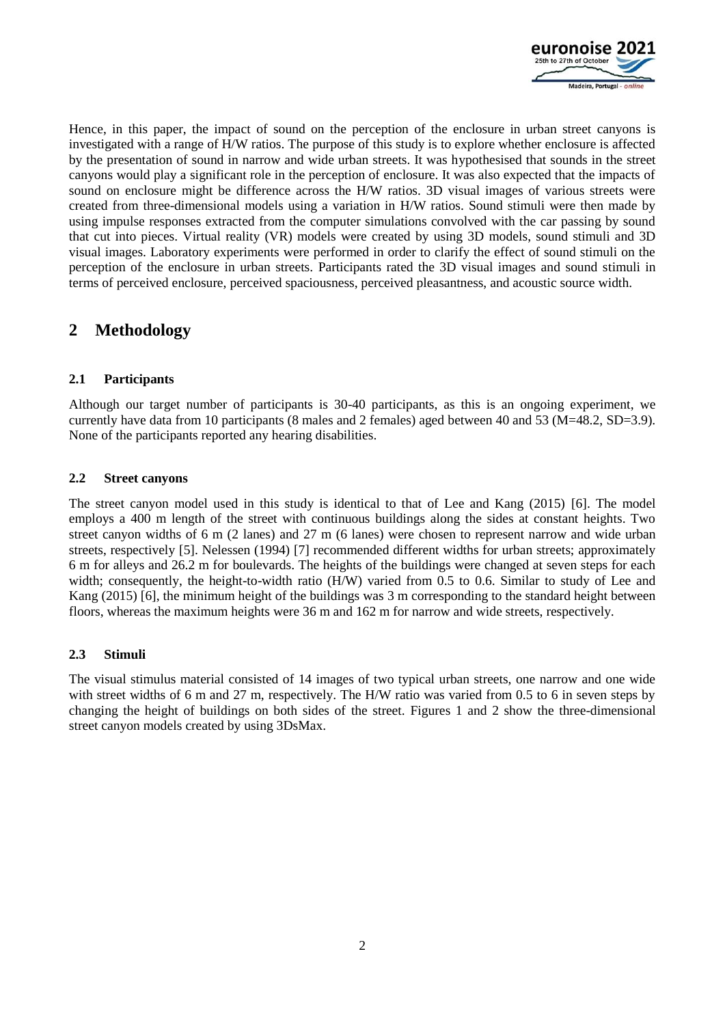

Hence, in this paper, the impact of sound on the perception of the enclosure in urban street canyons is investigated with a range of H/W ratios. The purpose of this study is to explore whether enclosure is affected by the presentation of sound in narrow and wide urban streets. It was hypothesised that sounds in the street canyons would play a significant role in the perception of enclosure. It was also expected that the impacts of sound on enclosure might be difference across the H/W ratios. 3D visual images of various streets were created from three-dimensional models using a variation in H/W ratios. Sound stimuli were then made by using impulse responses extracted from the computer simulations convolved with the car passing by sound that cut into pieces. Virtual reality (VR) models were created by using 3D models, sound stimuli and 3D visual images. Laboratory experiments were performed in order to clarify the effect of sound stimuli on the perception of the enclosure in urban streets. Participants rated the 3D visual images and sound stimuli in terms of perceived enclosure, perceived spaciousness, perceived pleasantness, and acoustic source width.

# **2 Methodology**

## **2.1 Participants**

Although our target number of participants is 30-40 participants, as this is an ongoing experiment, we currently have data from 10 participants (8 males and 2 females) aged between 40 and 53 (M=48.2, SD=3.9). None of the participants reported any hearing disabilities.

### **2.2 Street canyons**

The street canyon model used in this study is identical to that of Lee and Kang (2015) [6]. The model employs a 400 m length of the street with continuous buildings along the sides at constant heights. Two street canyon widths of 6 m (2 lanes) and 27 m (6 lanes) were chosen to represent narrow and wide urban streets, respectively [5]. Nelessen (1994) [7] recommended different widths for urban streets; approximately 6 m for alleys and 26.2 m for boulevards. The heights of the buildings were changed at seven steps for each width; consequently, the height-to-width ratio (H/W) varied from 0.5 to 0.6. Similar to study of Lee and Kang (2015) [6], the minimum height of the buildings was 3 m corresponding to the standard height between floors, whereas the maximum heights were 36 m and 162 m for narrow and wide streets, respectively.

### **2.3 Stimuli**

The visual stimulus material consisted of 14 images of two typical urban streets, one narrow and one wide with street widths of 6 m and 27 m, respectively. The H/W ratio was varied from 0.5 to 6 in seven steps by changing the height of buildings on both sides of the street. Figures 1 and 2 show the three-dimensional street canyon models created by using 3DsMax.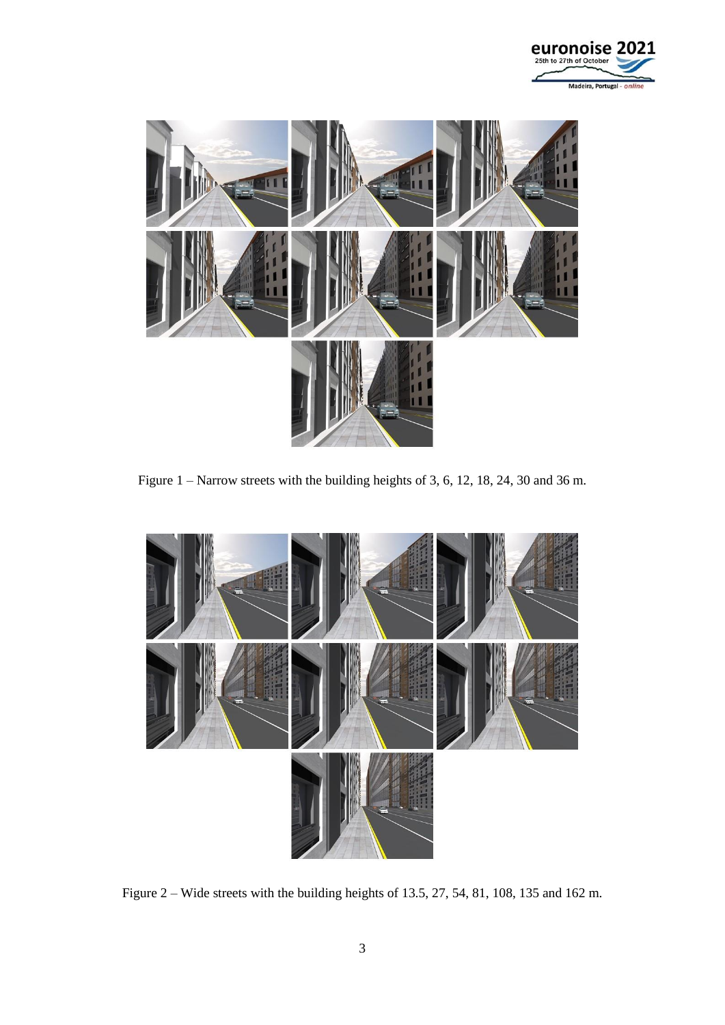



Figure 1 – Narrow streets with the building heights of 3, 6, 12, 18, 24, 30 and 36 m.



Figure 2 – Wide streets with the building heights of 13.5, 27, 54, 81, 108, 135 and 162 m.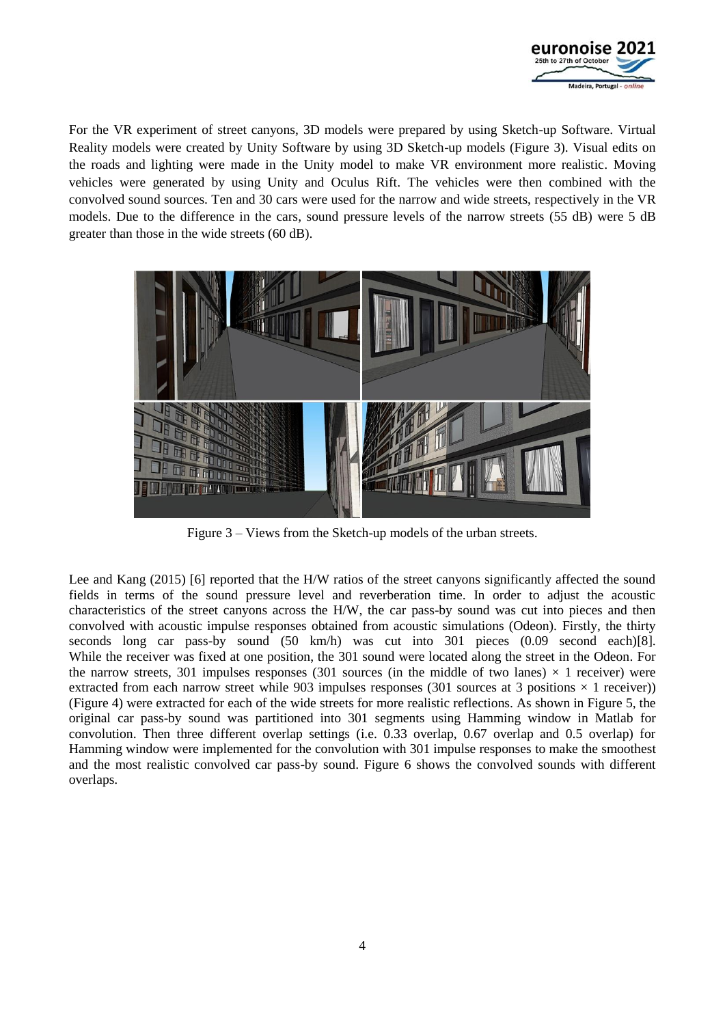

For the VR experiment of street canyons, 3D models were prepared by using Sketch-up Software. Virtual Reality models were created by Unity Software by using 3D Sketch-up models (Figure 3). Visual edits on the roads and lighting were made in the Unity model to make VR environment more realistic. Moving vehicles were generated by using Unity and Oculus Rift. The vehicles were then combined with the convolved sound sources. Ten and 30 cars were used for the narrow and wide streets, respectively in the VR models. Due to the difference in the cars, sound pressure levels of the narrow streets (55 dB) were 5 dB greater than those in the wide streets (60 dB).



Figure 3 – Views from the Sketch-up models of the urban streets.

Lee and Kang (2015) [6] reported that the H/W ratios of the street canyons significantly affected the sound fields in terms of the sound pressure level and reverberation time. In order to adjust the acoustic characteristics of the street canyons across the H/W, the car pass-by sound was cut into pieces and then convolved with acoustic impulse responses obtained from acoustic simulations (Odeon). Firstly, the thirty seconds long car pass-by sound (50 km/h) was cut into 301 pieces (0.09 second each)[8]. While the receiver was fixed at one position, the 301 sound were located along the street in the Odeon. For the narrow streets, 301 impulses responses (301 sources (in the middle of two lanes)  $\times$  1 receiver) were extracted from each narrow street while 903 impulses responses (301 sources at 3 positions  $\times$  1 receiver)) (Figure 4) were extracted for each of the wide streets for more realistic reflections. As shown in Figure 5, the original car pass-by sound was partitioned into 301 segments using Hamming window in Matlab for convolution. Then three different overlap settings (i.e. 0.33 overlap, 0.67 overlap and 0.5 overlap) for Hamming window were implemented for the convolution with 301 impulse responses to make the smoothest and the most realistic convolved car pass-by sound. Figure 6 shows the convolved sounds with different overlaps.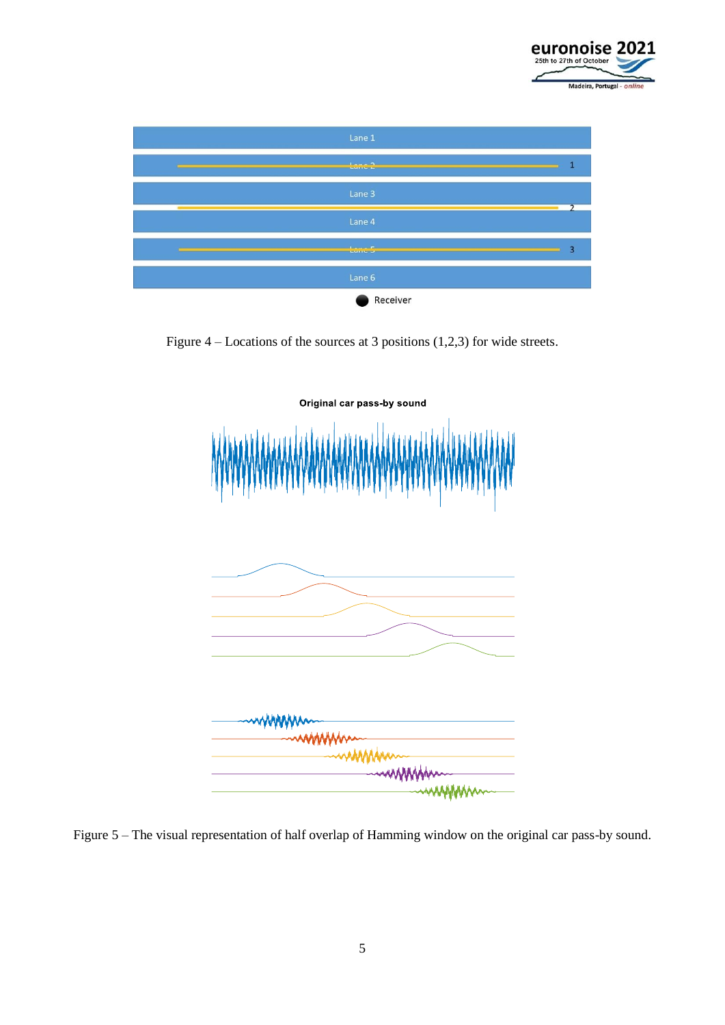



Figure – Locations of the sources at 3 positions (1,2,3) for wide streets.



Figure 5 – The visual representation of half overlap of Hamming window on the original car pass-by sound.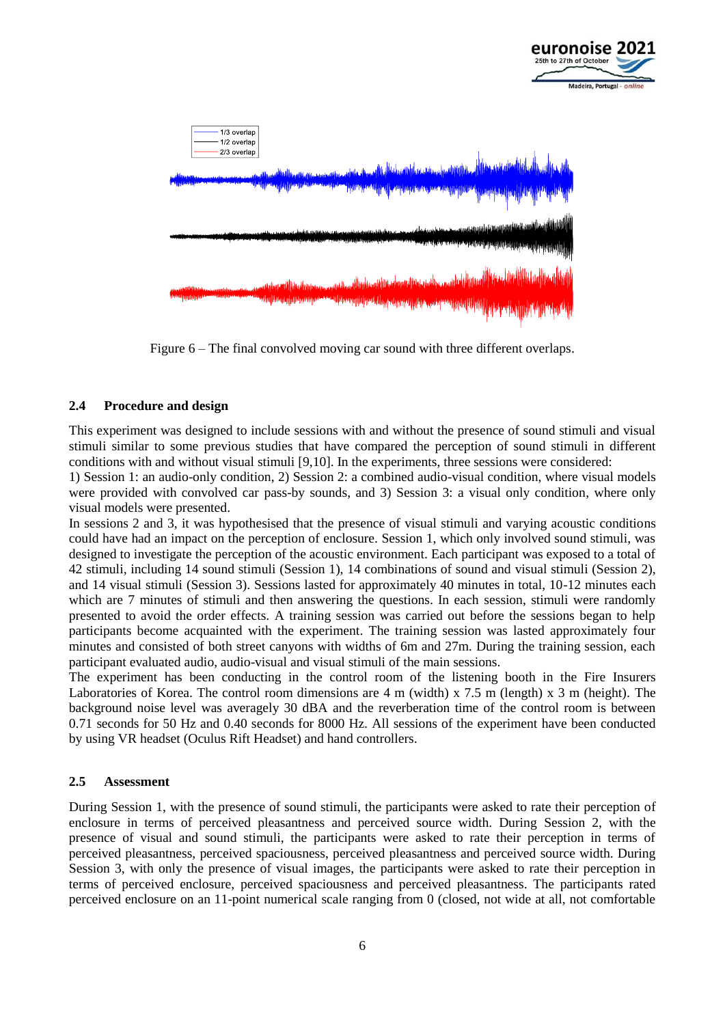

Figure 6 – The final convolved moving car sound with three different overlaps.

#### **2.4 Procedure and design**

This experiment was designed to include sessions with and without the presence of sound stimuli and visual stimuli similar to some previous studies that have compared the perception of sound stimuli in different conditions with and without visual stimuli [9,10]. In the experiments, three sessions were considered:

1) Session 1: an audio-only condition, 2) Session 2: a combined audio-visual condition, where visual models were provided with convolved car pass-by sounds, and 3) Session 3: a visual only condition, where only visual models were presented.

In sessions 2 and 3, it was hypothesised that the presence of visual stimuli and varying acoustic conditions could have had an impact on the perception of enclosure. Session 1, which only involved sound stimuli, was designed to investigate the perception of the acoustic environment. Each participant was exposed to a total of 42 stimuli, including 14 sound stimuli (Session 1), 14 combinations of sound and visual stimuli (Session 2), and 14 visual stimuli (Session 3). Sessions lasted for approximately 40 minutes in total, 10-12 minutes each which are 7 minutes of stimuli and then answering the questions. In each session, stimuli were randomly presented to avoid the order effects. A training session was carried out before the sessions began to help participants become acquainted with the experiment. The training session was lasted approximately four minutes and consisted of both street canyons with widths of 6m and 27m. During the training session, each participant evaluated audio, audio-visual and visual stimuli of the main sessions.

The experiment has been conducting in the control room of the listening booth in the Fire Insurers Laboratories of Korea. The control room dimensions are 4 m (width) x 7.5 m (length) x 3 m (height). The background noise level was averagely 30 dBA and the reverberation time of the control room is between 0.71 seconds for 50 Hz and 0.40 seconds for 8000 Hz. All sessions of the experiment have been conducted by using VR headset (Oculus Rift Headset) and hand controllers.

#### **2.5 Assessment**

During Session 1, with the presence of sound stimuli, the participants were asked to rate their perception of enclosure in terms of perceived pleasantness and perceived source width. During Session 2, with the presence of visual and sound stimuli, the participants were asked to rate their perception in terms of perceived pleasantness, perceived spaciousness, perceived pleasantness and perceived source width. During Session 3, with only the presence of visual images, the participants were asked to rate their perception in terms of perceived enclosure, perceived spaciousness and perceived pleasantness. The participants rated perceived enclosure on an 11-point numerical scale ranging from 0 (closed, not wide at all, not comfortable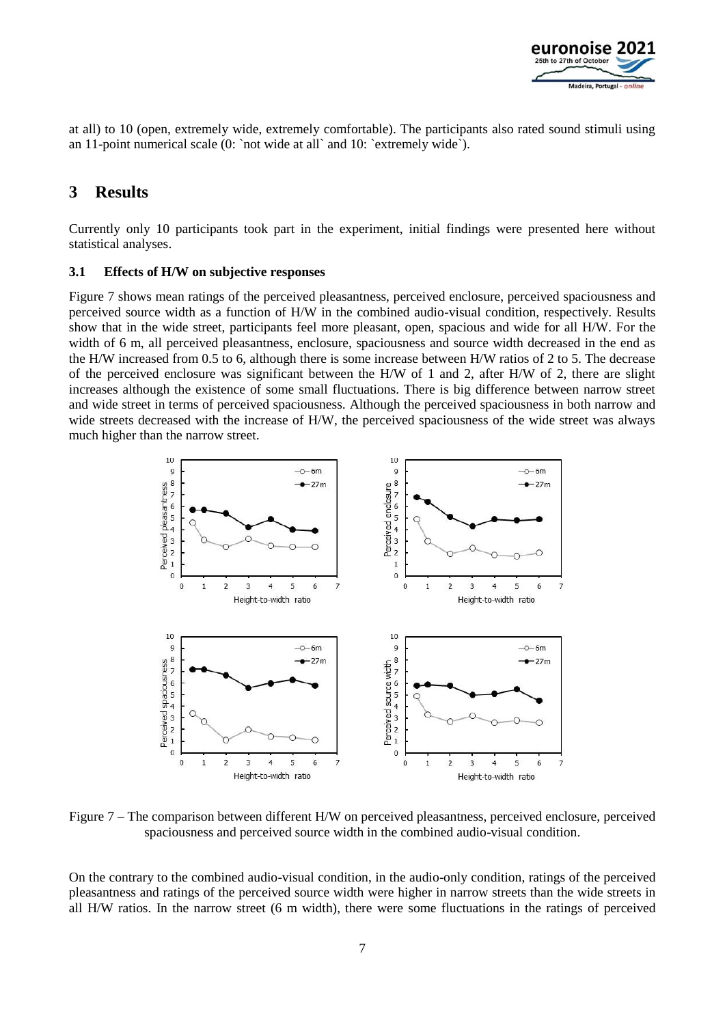

at all) to 10 (open, extremely wide, extremely comfortable). The participants also rated sound stimuli using an 11-point numerical scale (0: `not wide at all` and 10: `extremely wide`).

# **3 Results**

Currently only 10 participants took part in the experiment, initial findings were presented here without statistical analyses.

### **3.1 Effects of H/W on subjective responses**

Figure 7 shows mean ratings of the perceived pleasantness, perceived enclosure, perceived spaciousness and perceived source width as a function of H/W in the combined audio-visual condition, respectively. Results show that in the wide street, participants feel more pleasant, open, spacious and wide for all H/W. For the width of 6 m, all perceived pleasantness, enclosure, spaciousness and source width decreased in the end as the H/W increased from 0.5 to 6, although there is some increase between H/W ratios of 2 to 5. The decrease of the perceived enclosure was significant between the H/W of 1 and 2, after H/W of 2, there are slight increases although the existence of some small fluctuations. There is big difference between narrow street and wide street in terms of perceived spaciousness. Although the perceived spaciousness in both narrow and wide streets decreased with the increase of H/W, the perceived spaciousness of the wide street was always much higher than the narrow street.



Figure 7 – The comparison between different H/W on perceived pleasantness, perceived enclosure, perceived spaciousness and perceived source width in the combined audio-visual condition.

On the contrary to the combined audio-visual condition, in the audio-only condition, ratings of the perceived pleasantness and ratings of the perceived source width were higher in narrow streets than the wide streets in all H/W ratios. In the narrow street (6 m width), there were some fluctuations in the ratings of perceived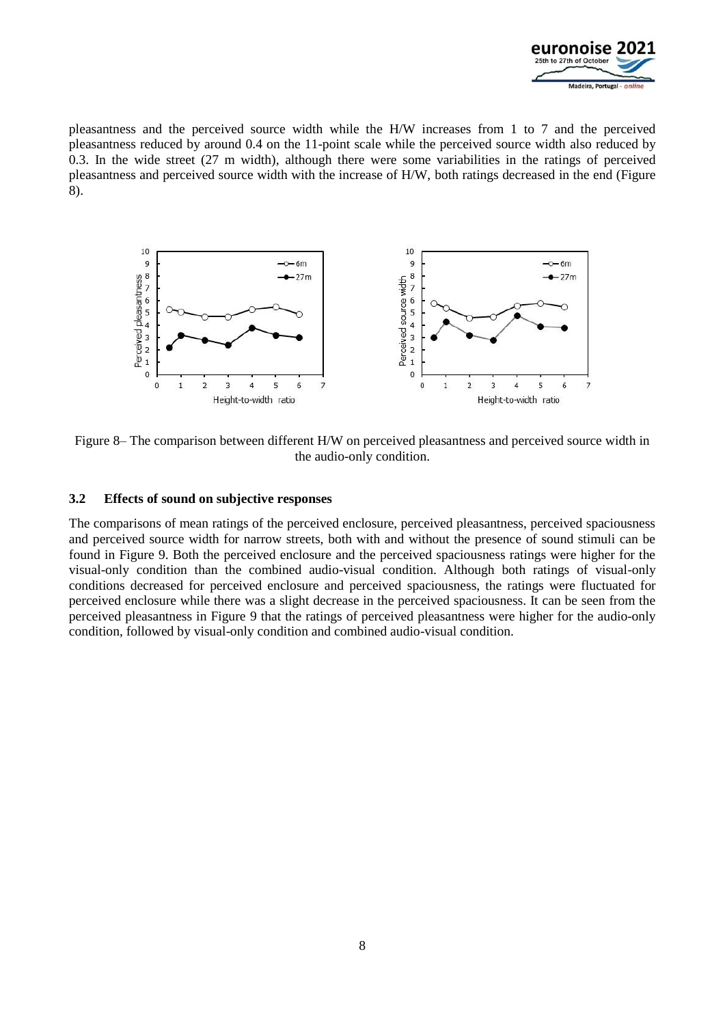

pleasantness and the perceived source width while the H/W increases from 1 to 7 and the perceived pleasantness reduced by around 0.4 on the 11-point scale while the perceived source width also reduced by 0.3. In the wide street (27 m width), although there were some variabilities in the ratings of perceived pleasantness and perceived source width with the increase of H/W, both ratings decreased in the end (Figure 8).



Figure 8– The comparison between different H/W on perceived pleasantness and perceived source width in the audio-only condition.

### **3.2 Effects of sound on subjective responses**

The comparisons of mean ratings of the perceived enclosure, perceived pleasantness, perceived spaciousness and perceived source width for narrow streets, both with and without the presence of sound stimuli can be found in Figure 9. Both the perceived enclosure and the perceived spaciousness ratings were higher for the visual-only condition than the combined audio-visual condition. Although both ratings of visual-only conditions decreased for perceived enclosure and perceived spaciousness, the ratings were fluctuated for perceived enclosure while there was a slight decrease in the perceived spaciousness. It can be seen from the perceived pleasantness in Figure 9 that the ratings of perceived pleasantness were higher for the audio-only condition, followed by visual-only condition and combined audio-visual condition.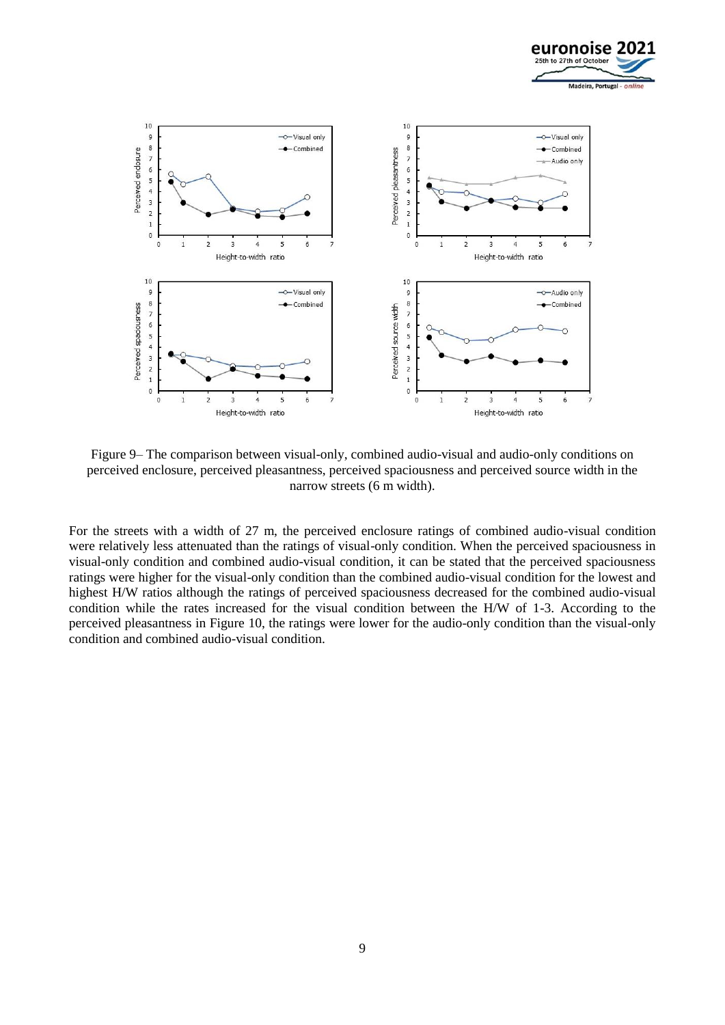



Figure 9– The comparison between visual-only, combined audio-visual and audio-only conditions on perceived enclosure, perceived pleasantness, perceived spaciousness and perceived source width in the narrow streets (6 m width).

For the streets with a width of 27 m, the perceived enclosure ratings of combined audio-visual condition were relatively less attenuated than the ratings of visual-only condition. When the perceived spaciousness in visual-only condition and combined audio-visual condition, it can be stated that the perceived spaciousness ratings were higher for the visual-only condition than the combined audio-visual condition for the lowest and highest H/W ratios although the ratings of perceived spaciousness decreased for the combined audio-visual condition while the rates increased for the visual condition between the H/W of 1-3. According to the perceived pleasantness in Figure 10, the ratings were lower for the audio-only condition than the visual-only condition and combined audio-visual condition.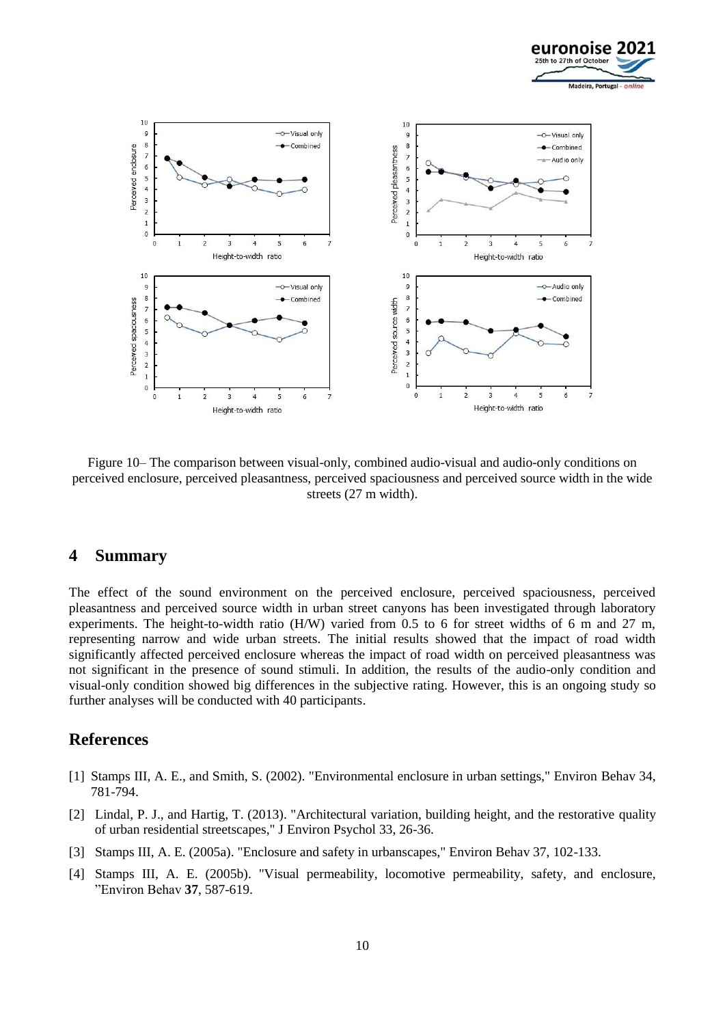



Figure 10– The comparison between visual-only, combined audio-visual and audio-only conditions on perceived enclosure, perceived pleasantness, perceived spaciousness and perceived source width in the wide streets (27 m width).

## **4 Summary**

The effect of the sound environment on the perceived enclosure, perceived spaciousness, perceived pleasantness and perceived source width in urban street canyons has been investigated through laboratory experiments. The height-to-width ratio (H/W) varied from 0.5 to 6 for street widths of 6 m and 27 m, representing narrow and wide urban streets. The initial results showed that the impact of road width significantly affected perceived enclosure whereas the impact of road width on perceived pleasantness was not significant in the presence of sound stimuli. In addition, the results of the audio-only condition and visual-only condition showed big differences in the subjective rating. However, this is an ongoing study so further analyses will be conducted with 40 participants.

## **References**

- [1] Stamps III, A. E., and Smith, S. (2002). "Environmental enclosure in urban settings," Environ Behav 34, 781-794.
- [2] Lindal, P. J., and Hartig, T. (2013). "Architectural variation, building height, and the restorative quality of urban residential streetscapes," J Environ Psychol 33, 26-36.
- [3] Stamps III, A. E. (2005a). "Enclosure and safety in urbanscapes," Environ Behav 37, 102-133.
- [4] Stamps III, A. E. (2005b). "Visual permeability, locomotive permeability, safety, and enclosure, "Environ Behav **37**, 587-619.